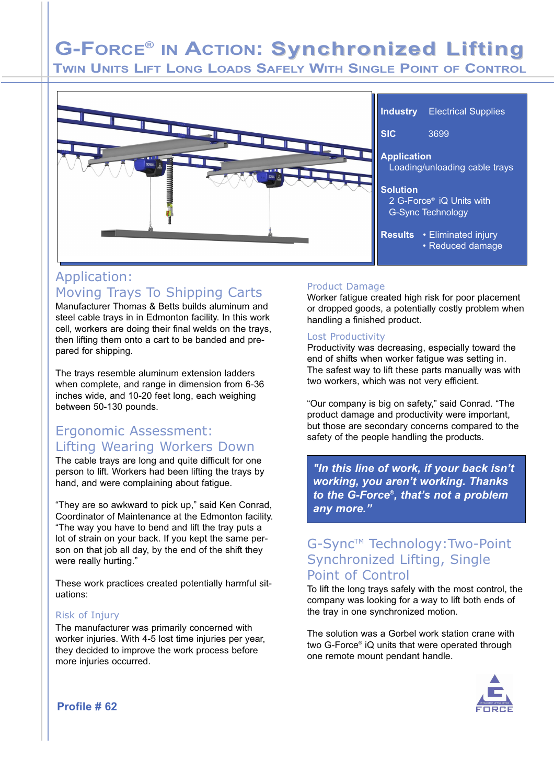# **G-FORCE® IN ACTION: Synchronized Lifting**

**TWIN UNITS LIFT LONG LOADS SAFELY WITH SINGLE POINT OF CONTROL**



## Application: Moving Trays To Shipping Carts

Manufacturer Thomas & Betts builds aluminum and steel cable trays in in Edmonton facility. In this work cell, workers are doing their final welds on the trays, then lifting them onto a cart to be banded and prepared for shipping.

The trays resemble aluminum extension ladders when complete, and range in dimension from 6-36 inches wide, and 10-20 feet long, each weighing between 50-130 pounds.

## Ergonomic Assessment: Lifting Wearing Workers Down

The cable trays are long and quite difficult for one person to lift. Workers had been lifting the trays by hand, and were complaining about fatigue.

"They are so awkward to pick up," said Ken Conrad, Coordinator of Maintenance at the Edmonton facility. "The way you have to bend and lift the tray puts a lot of strain on your back. If you kept the same person on that job all day, by the end of the shift they were really hurting."

These work practices created potentially harmful situations:

#### Risk of Injury

The manufacturer was primarily concerned with worker injuries. With 4-5 lost time injuries per year, they decided to improve the work process before more injuries occurred.

### Product Damage

Worker fatigue created high risk for poor placement or dropped goods, a potentially costly problem when handling a finished product.

#### Lost Productivity

Productivity was decreasing, especially toward the end of shifts when worker fatigue was setting in. The safest way to lift these parts manually was with two workers, which was not very efficient.

"Our company is big on safety," said Conrad. "The product damage and productivity were important, but those are secondary concerns compared to the safety of the people handling the products.

*"In this line of work, if your back isn't working, you aren't working. Thanks to the G-Force® , that's not a problem any more."*

## G-Sync™ Technology:Two-Point Synchronized Lifting, Single Point of Control

To lift the long trays safely with the most control, the company was looking for a way to lift both ends of the tray in one synchronized motion.

The solution was a Gorbel work station crane with two G-Force® iQ units that were operated through one remote mount pendant handle.



**Profile # 62**